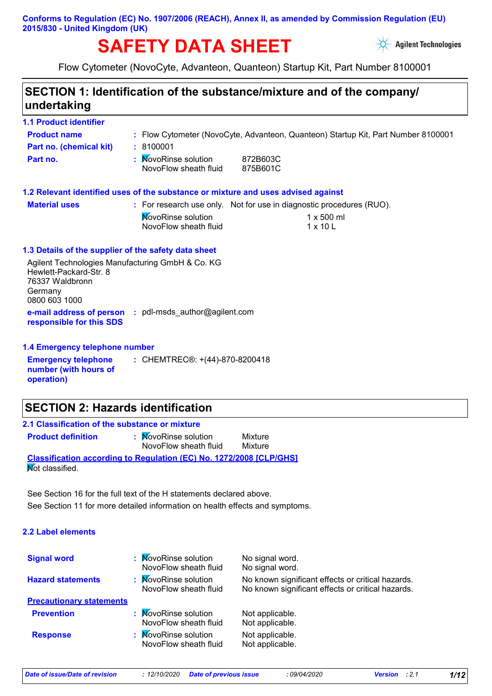# **SAFETY DATA SHEET**



Flow Cytometer (NovoCyte, Advanteon, Quanteon) Startup Kit, Part Number 8100001

### **SECTION 1: Identification of the substance/mixture and of the company/ undertaking**

| <b>1.1 Product identifier</b>                                                                                             |                                                                                            |
|---------------------------------------------------------------------------------------------------------------------------|--------------------------------------------------------------------------------------------|
| <b>Product name</b>                                                                                                       | : Flow Cytometer (NovoCyte, Advanteon, Quanteon) Startup Kit, Part Number 8100001          |
| Part no. (chemical kit)                                                                                                   | : 8100001                                                                                  |
| Part no.                                                                                                                  | : MovoRinse solution<br>872B603C<br>NovoFlow sheath fluid<br>875B601C                      |
|                                                                                                                           | 1.2 Relevant identified uses of the substance or mixture and uses advised against          |
| <b>Material uses</b>                                                                                                      | : For research use only. Not for use in diagnostic procedures (RUO).                       |
|                                                                                                                           | <b>NovoRinse solution</b><br>$1 \times 500$ ml<br>$1 \times 10$ L<br>NovoFlow sheath fluid |
| 1.3 Details of the supplier of the safety data sheet                                                                      |                                                                                            |
| Agilent Technologies Manufacturing GmbH & Co. KG<br>Hewlett-Packard-Str. 8<br>76337 Waldbronn<br>Germany<br>0800 603 1000 |                                                                                            |
| responsible for this SDS                                                                                                  | e-mail address of person : pdl-msds_author@agilent.com                                     |
| 1.4 Emergency telephone number                                                                                            |                                                                                            |
| <b>Emergency telephone</b><br>number (with hours of<br>operation)                                                         | : CHEMTREC®: +(44)-870-8200418                                                             |

### **SECTION 2: Hazards identification**

| 2.1 Classification of the substance or mixture |                                                                            |                    |
|------------------------------------------------|----------------------------------------------------------------------------|--------------------|
| <b>Product definition</b>                      | : MovoRinse solution<br>NovoFlow sheath fluid                              | Mixture<br>Mixture |
|                                                | <b>Classification according to Regulation (EC) No. 1272/2008 [CLP/GHS]</b> |                    |
| <b>Not classified.</b>                         |                                                                            |                    |

See Section 11 for more detailed information on health effects and symptoms. See Section 16 for the full text of the H statements declared above.

### **2.2 Label elements**

| <b>Signal word</b>              | : MovoRinse solution<br>NovoFlow sheath fluid | No signal word.<br>No signal word.                                                                     |
|---------------------------------|-----------------------------------------------|--------------------------------------------------------------------------------------------------------|
| <b>Hazard statements</b>        | : MovoRinse solution<br>NovoFlow sheath fluid | No known significant effects or critical hazards.<br>No known significant effects or critical hazards. |
| <b>Precautionary statements</b> |                                               |                                                                                                        |
| <b>Prevention</b>               | : MovoRinse solution<br>NovoFlow sheath fluid | Not applicable.<br>Not applicable.                                                                     |
| <b>Response</b>                 | : MovoRinse solution<br>NovoFlow sheath fluid | Not applicable.<br>Not applicable.                                                                     |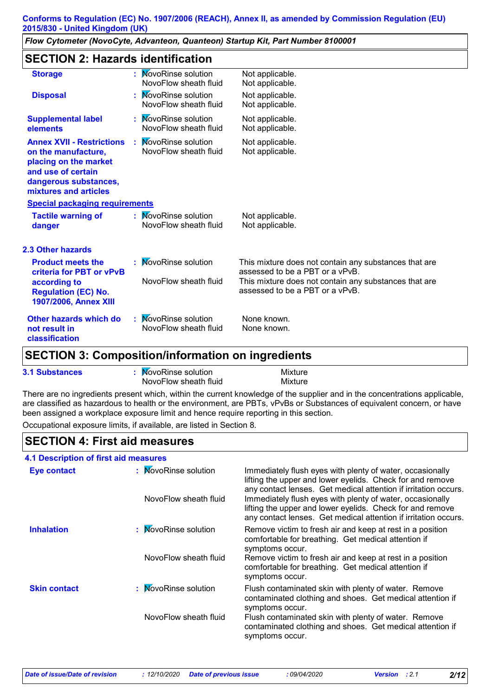*Flow Cytometer (NovoCyte, Advanteon, Quanteon) Startup Kit, Part Number 8100001*

### **SECTION 2: Hazards identification**

| <b>Storage</b>                                                                                                                                           | <b>NovoRinse solution</b><br>NovoFlow sheath fluid | Not applicable.<br>Not applicable.                                                                                                                                                   |
|----------------------------------------------------------------------------------------------------------------------------------------------------------|----------------------------------------------------|--------------------------------------------------------------------------------------------------------------------------------------------------------------------------------------|
| <b>Disposal</b>                                                                                                                                          | : MovoRinse solution<br>NovoFlow sheath fluid      | Not applicable.<br>Not applicable.                                                                                                                                                   |
| <b>Supplemental label</b><br>elements                                                                                                                    | : MovoRinse solution<br>NovoFlow sheath fluid      | Not applicable.<br>Not applicable.                                                                                                                                                   |
| <b>Annex XVII - Restrictions</b><br>on the manufacture,<br>placing on the market<br>and use of certain<br>dangerous substances,<br>mixtures and articles | <b>NovoRinse solution</b><br>NovoFlow sheath fluid | Not applicable.<br>Not applicable.                                                                                                                                                   |
| <b>Special packaging requirements</b>                                                                                                                    |                                                    |                                                                                                                                                                                      |
| <b>Tactile warning of</b><br>danger                                                                                                                      | : MovoRinse solution<br>NovoFlow sheath fluid      | Not applicable.<br>Not applicable.                                                                                                                                                   |
| <b>2.3 Other hazards</b>                                                                                                                                 |                                                    |                                                                                                                                                                                      |
| <b>Product meets the</b><br>criteria for PBT or vPvB<br>according to<br><b>Regulation (EC) No.</b><br>1907/2006, Annex XIII                              | : MovoRinse solution<br>NovoFlow sheath fluid      | This mixture does not contain any substances that are<br>assessed to be a PBT or a vPvB.<br>This mixture does not contain any substances that are<br>assessed to be a PBT or a vPvB. |
| Other hazards which do<br>not result in<br>classification                                                                                                | : MovoRinse solution<br>NovoFlow sheath fluid      | None known.<br>None known.                                                                                                                                                           |

# **SECTION 3: Composition/information on ingredients**

| <b>3.1 Substances</b> |  | <b>NovoRinse solution</b><br>NovoFlow sheath fluid |  |  |   |  |  | Mixture<br>Mixture |  |  |  |  |  |  |  |
|-----------------------|--|----------------------------------------------------|--|--|---|--|--|--------------------|--|--|--|--|--|--|--|
| $-1$                  |  |                                                    |  |  | . |  |  |                    |  |  |  |  |  |  |  |

There are no ingredients present which, within the current knowledge of the supplier and in the concentrations applicable, are classified as hazardous to health or the environment, are PBTs, vPvBs or Substances of equivalent concern, or have been assigned a workplace exposure limit and hence require reporting in this section.

Occupational exposure limits, if available, are listed in Section 8.

### **SECTION 4: First aid measures**

| 4.1 Description of first aid measures |                                               |                                                                                                                                                                                                                                                                                                                                                                                        |
|---------------------------------------|-----------------------------------------------|----------------------------------------------------------------------------------------------------------------------------------------------------------------------------------------------------------------------------------------------------------------------------------------------------------------------------------------------------------------------------------------|
| <b>Eye contact</b>                    | : MovoRinse solution<br>NovoFlow sheath fluid | Immediately flush eyes with plenty of water, occasionally<br>lifting the upper and lower eyelids. Check for and remove<br>any contact lenses. Get medical attention if irritation occurs.<br>Immediately flush eyes with plenty of water, occasionally<br>lifting the upper and lower eyelids. Check for and remove<br>any contact lenses. Get medical attention if irritation occurs. |
| <b>Inhalation</b>                     | : MovoRinse solution                          | Remove victim to fresh air and keep at rest in a position<br>comfortable for breathing. Get medical attention if<br>symptoms occur.                                                                                                                                                                                                                                                    |
|                                       | NovoFlow sheath fluid                         | Remove victim to fresh air and keep at rest in a position<br>comfortable for breathing. Get medical attention if<br>symptoms occur.                                                                                                                                                                                                                                                    |
| <b>Skin contact</b>                   | : MovoRinse solution                          | Flush contaminated skin with plenty of water. Remove<br>contaminated clothing and shoes. Get medical attention if<br>symptoms occur.                                                                                                                                                                                                                                                   |
|                                       | NovoFlow sheath fluid                         | Flush contaminated skin with plenty of water. Remove<br>contaminated clothing and shoes. Get medical attention if<br>symptoms occur.                                                                                                                                                                                                                                                   |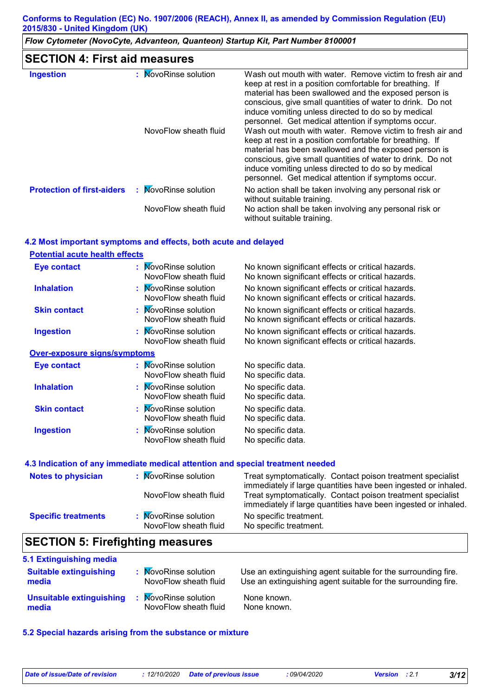*Flow Cytometer (NovoCyte, Advanteon, Quanteon) Startup Kit, Part Number 8100001*

| <b>SECTION 4: First aid measures</b> |                       |                                                                                                                                                                                                                                                                                                                                                            |  |  |  |  |  |
|--------------------------------------|-----------------------|------------------------------------------------------------------------------------------------------------------------------------------------------------------------------------------------------------------------------------------------------------------------------------------------------------------------------------------------------------|--|--|--|--|--|
| <b>Ingestion</b>                     | : MovoRinse solution  | Wash out mouth with water. Remove victim to fresh air and<br>keep at rest in a position comfortable for breathing. If<br>material has been swallowed and the exposed person is<br>conscious, give small quantities of water to drink. Do not<br>induce vomiting unless directed to do so by medical<br>personnel. Get medical attention if symptoms occur. |  |  |  |  |  |
|                                      | NovoFlow sheath fluid | Wash out mouth with water. Remove victim to fresh air and<br>keep at rest in a position comfortable for breathing. If<br>material has been swallowed and the exposed person is<br>conscious, give small quantities of water to drink. Do not<br>induce vomiting unless directed to do so by medical<br>personnel. Get medical attention if symptoms occur. |  |  |  |  |  |
| <b>Protection of first-aiders</b>    | : MovoRinse solution  | No action shall be taken involving any personal risk or<br>without suitable training.                                                                                                                                                                                                                                                                      |  |  |  |  |  |
|                                      | NovoFlow sheath fluid | No action shall be taken involving any personal risk or<br>without suitable training.                                                                                                                                                                                                                                                                      |  |  |  |  |  |

#### **4.2 Most important symptoms and effects, both acute and delayed**

| <b>Potential acute health effects</b> |                                               |                                                                                                        |
|---------------------------------------|-----------------------------------------------|--------------------------------------------------------------------------------------------------------|
| Eye contact                           | : MovoRinse solution<br>NovoFlow sheath fluid | No known significant effects or critical hazards.<br>No known significant effects or critical hazards. |
| <b>Inhalation</b>                     | : MovoRinse solution<br>NovoFlow sheath fluid | No known significant effects or critical hazards.<br>No known significant effects or critical hazards. |
| <b>Skin contact</b>                   | : MovoRinse solution<br>NovoFlow sheath fluid | No known significant effects or critical hazards.<br>No known significant effects or critical hazards. |
| <b>Ingestion</b>                      | : MovoRinse solution<br>NovoFlow sheath fluid | No known significant effects or critical hazards.<br>No known significant effects or critical hazards. |
| <b>Over-exposure signs/symptoms</b>   |                                               |                                                                                                        |
| Eye contact                           | : MovoRinse solution<br>NovoFlow sheath fluid | No specific data.<br>No specific data.                                                                 |
| <b>Inhalation</b>                     | : MovoRinse solution<br>NovoFlow sheath fluid | No specific data.<br>No specific data.                                                                 |
| <b>Skin contact</b>                   | : MovoRinse solution<br>NovoFlow sheath fluid | No specific data.<br>No specific data.                                                                 |
| <b>Ingestion</b>                      | : MovoRinse solution<br>NovoFlow sheath fluid | No specific data.<br>No specific data.                                                                 |

#### **4.3 Indication of any immediate medical attention and special treatment needed**

| <b>Notes to physician</b>  | : MovoRinse solution                          | Treat symptomatically. Contact poison treatment specialist<br>immediately if large quantities have been ingested or inhaled. |
|----------------------------|-----------------------------------------------|------------------------------------------------------------------------------------------------------------------------------|
|                            | NovoFlow sheath fluid                         | Treat symptomatically. Contact poison treatment specialist<br>immediately if large quantities have been ingested or inhaled. |
| <b>Specific treatments</b> | : MovoRinse solution<br>NovoFlow sheath fluid | No specific treatment.<br>No specific treatment.                                                                             |
|                            |                                               |                                                                                                                              |

### **SECTION 5: Firefighting measures**

| 5.1 Extinguishing media         |                       |                                                               |
|---------------------------------|-----------------------|---------------------------------------------------------------|
| <b>Suitable extinguishing</b>   | : MovoRinse solution  | Use an extinguishing agent suitable for the surrounding fire. |
| media                           | NovoFlow sheath fluid | Use an extinguishing agent suitable for the surrounding fire. |
| <b>Unsuitable extinguishing</b> | : MovoRinse solution  | None known.                                                   |
| media                           | NovoFlow sheath fluid | None known.                                                   |

### **5.2 Special hazards arising from the substance or mixture**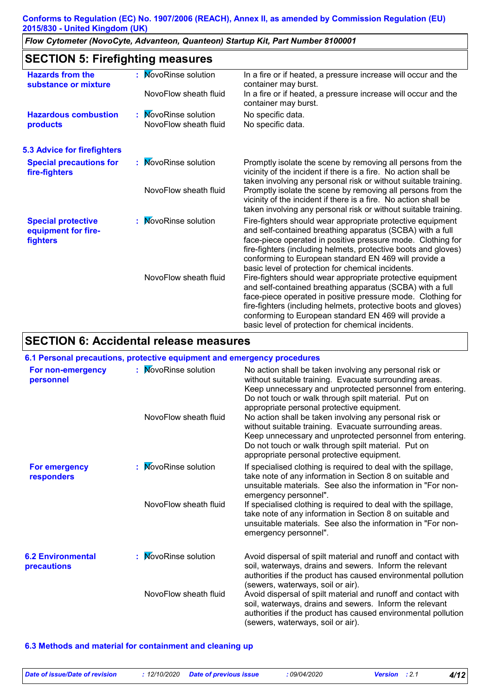*Flow Cytometer (NovoCyte, Advanteon, Quanteon) Startup Kit, Part Number 8100001*

# **SECTION 5: Firefighting measures**

| <b>Hazards from the</b><br>substance or mixture              | : MovoRinse solution  | In a fire or if heated, a pressure increase will occur and the<br>container may burst.                                                                                                                                                                                                                                                                                 |
|--------------------------------------------------------------|-----------------------|------------------------------------------------------------------------------------------------------------------------------------------------------------------------------------------------------------------------------------------------------------------------------------------------------------------------------------------------------------------------|
|                                                              | NovoFlow sheath fluid | In a fire or if heated, a pressure increase will occur and the<br>container may burst.                                                                                                                                                                                                                                                                                 |
| <b>Hazardous combustion</b>                                  | : MovoRinse solution  | No specific data.                                                                                                                                                                                                                                                                                                                                                      |
| products                                                     | NovoFlow sheath fluid | No specific data.                                                                                                                                                                                                                                                                                                                                                      |
| <b>5.3 Advice for firefighters</b>                           |                       |                                                                                                                                                                                                                                                                                                                                                                        |
| <b>Special precautions for</b><br>fire-fighters              | : MovoRinse solution  | Promptly isolate the scene by removing all persons from the<br>vicinity of the incident if there is a fire. No action shall be<br>taken involving any personal risk or without suitable training.                                                                                                                                                                      |
|                                                              | NovoFlow sheath fluid | Promptly isolate the scene by removing all persons from the<br>vicinity of the incident if there is a fire. No action shall be<br>taken involving any personal risk or without suitable training.                                                                                                                                                                      |
| <b>Special protective</b><br>equipment for fire-<br>fighters | : MovoRinse solution  | Fire-fighters should wear appropriate protective equipment<br>and self-contained breathing apparatus (SCBA) with a full<br>face-piece operated in positive pressure mode. Clothing for<br>fire-fighters (including helmets, protective boots and gloves)<br>conforming to European standard EN 469 will provide a<br>basic level of protection for chemical incidents. |
|                                                              | NovoFlow sheath fluid | Fire-fighters should wear appropriate protective equipment<br>and self-contained breathing apparatus (SCBA) with a full<br>face-piece operated in positive pressure mode. Clothing for<br>fire-fighters (including helmets, protective boots and gloves)<br>conforming to European standard EN 469 will provide a<br>basic level of protection for chemical incidents. |

### **SECTION 6: Accidental release measures**

### **6.1 Personal precautions, protective equipment and emergency procedures**

| For non-emergency<br>personnel          | : MovoRinse solution  | No action shall be taken involving any personal risk or<br>without suitable training. Evacuate surrounding areas.<br>Keep unnecessary and unprotected personnel from entering.<br>Do not touch or walk through spilt material. Put on<br>appropriate personal protective equipment. |
|-----------------------------------------|-----------------------|-------------------------------------------------------------------------------------------------------------------------------------------------------------------------------------------------------------------------------------------------------------------------------------|
|                                         | NovoFlow sheath fluid | No action shall be taken involving any personal risk or<br>without suitable training. Evacuate surrounding areas.<br>Keep unnecessary and unprotected personnel from entering.<br>Do not touch or walk through spilt material. Put on<br>appropriate personal protective equipment. |
| <b>For emergency</b><br>responders      | : MovoRinse solution  | If specialised clothing is required to deal with the spillage,<br>take note of any information in Section 8 on suitable and<br>unsuitable materials. See also the information in "For non-<br>emergency personnel".                                                                 |
|                                         | NovoFlow sheath fluid | If specialised clothing is required to deal with the spillage,<br>take note of any information in Section 8 on suitable and<br>unsuitable materials. See also the information in "For non-<br>emergency personnel".                                                                 |
| <b>6.2 Environmental</b><br>precautions | : MovoRinse solution  | Avoid dispersal of spilt material and runoff and contact with<br>soil, waterways, drains and sewers. Inform the relevant<br>authorities if the product has caused environmental pollution<br>(sewers, waterways, soil or air).                                                      |
|                                         | NovoFlow sheath fluid | Avoid dispersal of spilt material and runoff and contact with<br>soil, waterways, drains and sewers. Inform the relevant<br>authorities if the product has caused environmental pollution<br>(sewers, waterways, soil or air).                                                      |

### **6.3 Methods and material for containment and cleaning up**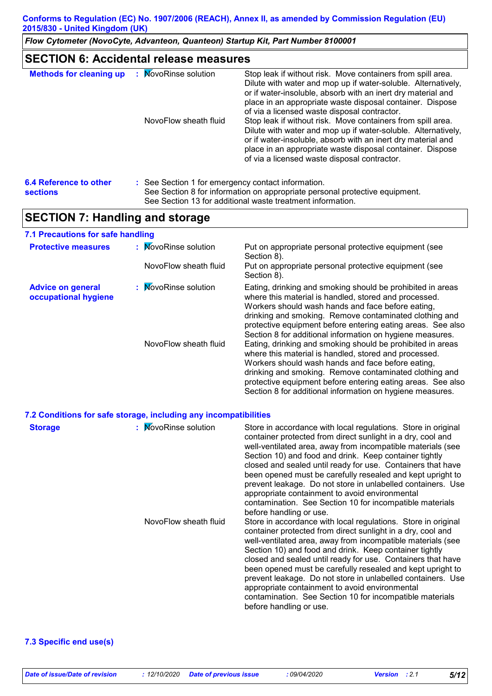*Flow Cytometer (NovoCyte, Advanteon, Quanteon) Startup Kit, Part Number 8100001*

| <b>SECTION 6: Accidental release measures</b>    |                                                                                                                                                                                                 |                                                                                                                                                                                                                                                                                                           |
|--------------------------------------------------|-------------------------------------------------------------------------------------------------------------------------------------------------------------------------------------------------|-----------------------------------------------------------------------------------------------------------------------------------------------------------------------------------------------------------------------------------------------------------------------------------------------------------|
| <b>Methods for cleaning up</b>                   | : MovoRinse solution                                                                                                                                                                            | Stop leak if without risk. Move containers from spill area.<br>Dilute with water and mop up if water-soluble. Alternatively,<br>or if water-insoluble, absorb with an inert dry material and<br>place in an appropriate waste disposal container. Dispose<br>of via a licensed waste disposal contractor. |
|                                                  | NovoFlow sheath fluid                                                                                                                                                                           | Stop leak if without risk. Move containers from spill area.<br>Dilute with water and mop up if water-soluble. Alternatively,<br>or if water-insoluble, absorb with an inert dry material and<br>place in an appropriate waste disposal container. Dispose<br>of via a licensed waste disposal contractor. |
| <b>6.4 Reference to other</b><br><b>sections</b> | : See Section 1 for emergency contact information.<br>See Section 8 for information on appropriate personal protective equipment.<br>See Section 13 for additional waste treatment information. |                                                                                                                                                                                                                                                                                                           |

# **SECTION 7: Handling and storage**

| 7.1 Precautions for safe handling                |                       |                                                                                                                                                                                                                                                                                                                                                                |
|--------------------------------------------------|-----------------------|----------------------------------------------------------------------------------------------------------------------------------------------------------------------------------------------------------------------------------------------------------------------------------------------------------------------------------------------------------------|
| <b>Protective measures</b>                       | : MovoRinse solution  | Put on appropriate personal protective equipment (see<br>Section 8).                                                                                                                                                                                                                                                                                           |
|                                                  | NovoFlow sheath fluid | Put on appropriate personal protective equipment (see<br>Section 8).                                                                                                                                                                                                                                                                                           |
| <b>Advice on general</b><br>occupational hygiene | : MovoRinse solution  | Eating, drinking and smoking should be prohibited in areas<br>where this material is handled, stored and processed.<br>Workers should wash hands and face before eating,<br>drinking and smoking. Remove contaminated clothing and<br>protective equipment before entering eating areas. See also<br>Section 8 for additional information on hygiene measures. |
|                                                  | NovoFlow sheath fluid | Eating, drinking and smoking should be prohibited in areas<br>where this material is handled, stored and processed.<br>Workers should wash hands and face before eating,<br>drinking and smoking. Remove contaminated clothing and<br>protective equipment before entering eating areas. See also<br>Section 8 for additional information on hygiene measures. |

### **7.2 Conditions for safe storage, including any incompatibilities**

| <b>Storage</b> | : MovoRinse solution  | Store in accordance with local regulations. Store in original<br>container protected from direct sunlight in a dry, cool and<br>well-ventilated area, away from incompatible materials (see<br>Section 10) and food and drink. Keep container tightly<br>closed and sealed until ready for use. Containers that have<br>been opened must be carefully resealed and kept upright to<br>prevent leakage. Do not store in unlabelled containers. Use<br>appropriate containment to avoid environmental<br>contamination. See Section 10 for incompatible materials<br>before handling or use. |
|----------------|-----------------------|--------------------------------------------------------------------------------------------------------------------------------------------------------------------------------------------------------------------------------------------------------------------------------------------------------------------------------------------------------------------------------------------------------------------------------------------------------------------------------------------------------------------------------------------------------------------------------------------|
|                | NovoFlow sheath fluid | Store in accordance with local regulations. Store in original<br>container protected from direct sunlight in a dry, cool and<br>well-ventilated area, away from incompatible materials (see<br>Section 10) and food and drink. Keep container tightly<br>closed and sealed until ready for use. Containers that have<br>been opened must be carefully resealed and kept upright to<br>prevent leakage. Do not store in unlabelled containers. Use<br>appropriate containment to avoid environmental<br>contamination. See Section 10 for incompatible materials<br>before handling or use. |

### **7.3 Specific end use(s)**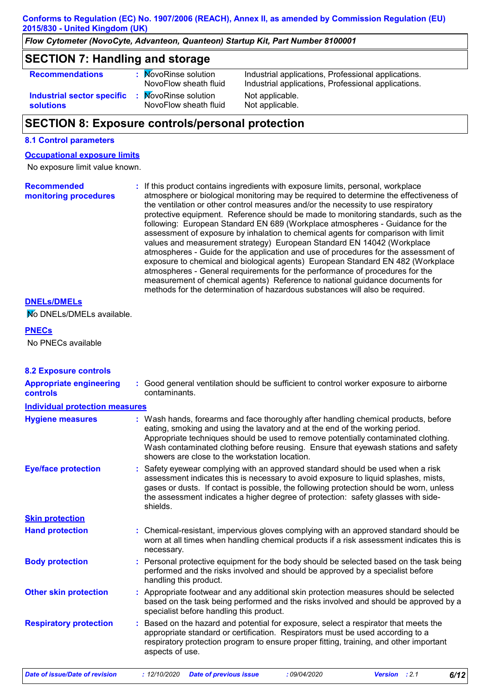*Flow Cytometer (NovoCyte, Advanteon, Quanteon) Startup Kit, Part Number 8100001*

### **SECTION 7: Handling and storage**

| <b>Recommendations</b>                                | : MovoRinse solution<br>NovoFlow sheath fluid      | Industrial applications, Professional applications.<br>Industrial applications, Professional applications. |
|-------------------------------------------------------|----------------------------------------------------|------------------------------------------------------------------------------------------------------------|
| <b>Industrial sector specific</b><br><b>solutions</b> | <b>NovoRinse solution</b><br>NovoFlow sheath fluid | Not applicable.<br>Not applicable.                                                                         |
|                                                       |                                                    |                                                                                                            |

### **SECTION 8: Exposure controls/personal protection**

#### **8.1 Control parameters**

#### **Occupational exposure limits**

No exposure limit value known.

**Recommended monitoring procedures :** If this product contains ingredients with exposure limits, personal, workplace atmosphere or biological monitoring may be required to determine the effectiveness of the ventilation or other control measures and/or the necessity to use respiratory protective equipment. Reference should be made to monitoring standards, such as the following: European Standard EN 689 (Workplace atmospheres - Guidance for the assessment of exposure by inhalation to chemical agents for comparison with limit values and measurement strategy) European Standard EN 14042 (Workplace atmospheres - Guide for the application and use of procedures for the assessment of exposure to chemical and biological agents) European Standard EN 482 (Workplace atmospheres - General requirements for the performance of procedures for the measurement of chemical agents) Reference to national guidance documents for methods for the determination of hazardous substances will also be required.

#### **DNELs/DMELs**

No DNELs/DMELs available.

#### **PNECs**

No PNECs available

| <b>8.2 Exposure controls</b>               |                                                                                                                                                                                                                                                                                                                                                                                                   |
|--------------------------------------------|---------------------------------------------------------------------------------------------------------------------------------------------------------------------------------------------------------------------------------------------------------------------------------------------------------------------------------------------------------------------------------------------------|
| <b>Appropriate engineering</b><br>controls | : Good general ventilation should be sufficient to control worker exposure to airborne<br>contaminants.                                                                                                                                                                                                                                                                                           |
| <b>Individual protection measures</b>      |                                                                                                                                                                                                                                                                                                                                                                                                   |
| <b>Hygiene measures</b>                    | : Wash hands, forearms and face thoroughly after handling chemical products, before<br>eating, smoking and using the lavatory and at the end of the working period.<br>Appropriate techniques should be used to remove potentially contaminated clothing.<br>Wash contaminated clothing before reusing. Ensure that eyewash stations and safety<br>showers are close to the workstation location. |
| <b>Eye/face protection</b>                 | : Safety eyewear complying with an approved standard should be used when a risk<br>assessment indicates this is necessary to avoid exposure to liquid splashes, mists,<br>gases or dusts. If contact is possible, the following protection should be worn, unless<br>the assessment indicates a higher degree of protection: safety glasses with side-<br>shields.                                |
| <b>Skin protection</b>                     |                                                                                                                                                                                                                                                                                                                                                                                                   |
| <b>Hand protection</b>                     | : Chemical-resistant, impervious gloves complying with an approved standard should be<br>worn at all times when handling chemical products if a risk assessment indicates this is<br>necessary.                                                                                                                                                                                                   |
| <b>Body protection</b>                     | : Personal protective equipment for the body should be selected based on the task being<br>performed and the risks involved and should be approved by a specialist before<br>handling this product.                                                                                                                                                                                               |
| <b>Other skin protection</b>               | : Appropriate footwear and any additional skin protection measures should be selected<br>based on the task being performed and the risks involved and should be approved by a<br>specialist before handling this product.                                                                                                                                                                         |
| <b>Respiratory protection</b>              | : Based on the hazard and potential for exposure, select a respirator that meets the<br>appropriate standard or certification. Respirators must be used according to a<br>respiratory protection program to ensure proper fitting, training, and other important<br>aspects of use.                                                                                                               |
| <b>Date of issue/Date of revision</b>      | : 12/10/2020<br><b>Date of previous issue</b><br>:09/04/2020<br><b>Version</b><br>: 2.1<br>6/12                                                                                                                                                                                                                                                                                                   |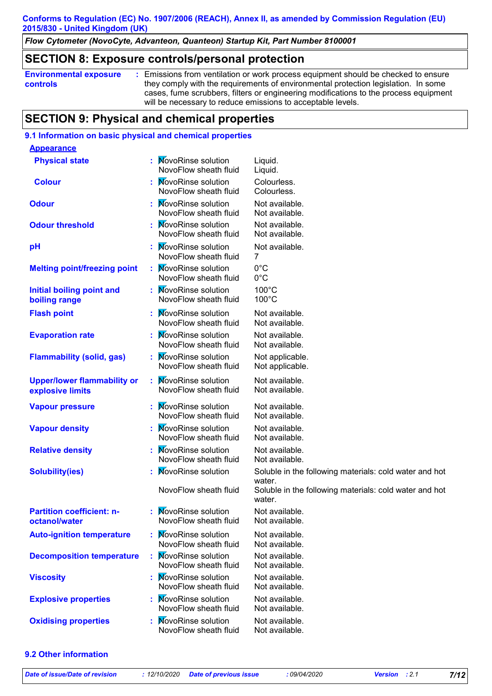*Flow Cytometer (NovoCyte, Advanteon, Quanteon) Startup Kit, Part Number 8100001*

### **SECTION 8: Exposure controls/personal protection**

| <b>Environmental exposure</b> | Emissions from ventilation or work process equipment should be checked to ensure                                                                                           |
|-------------------------------|----------------------------------------------------------------------------------------------------------------------------------------------------------------------------|
| <b>controls</b>               | they comply with the requirements of environmental protection legislation. In some<br>cases, fume scrubbers, filters or engineering modifications to the process equipment |
|                               | will be necessary to reduce emissions to acceptable levels.                                                                                                                |

### **SECTION 9: Physical and chemical properties**

### **9.1 Information on basic physical and chemical properties**

| <b>Appearance</b>                                      |    |                                                    |                                                                  |
|--------------------------------------------------------|----|----------------------------------------------------|------------------------------------------------------------------|
| <b>Physical state</b>                                  |    | <b>NovoRinse solution</b><br>NovoFlow sheath fluid | Liquid.<br>Liquid.                                               |
| <b>Colour</b>                                          |    | <b>NovoRinse solution</b><br>NovoFlow sheath fluid | Colourless.<br>Colourless.                                       |
| <b>Odour</b>                                           |    | <b>NovoRinse solution</b><br>NovoFlow sheath fluid | Not available.<br>Not available.                                 |
| <b>Odour threshold</b>                                 |    | <b>MovoRinse solution</b><br>NovoFlow sheath fluid | Not available.<br>Not available.                                 |
| pH                                                     |    | <b>NovoRinse solution</b><br>NovoFlow sheath fluid | Not available.<br>7                                              |
| <b>Melting point/freezing point</b>                    |    | <b>NovoRinse solution</b><br>NovoFlow sheath fluid | $0^{\circ}$ C<br>$0^{\circ}$ C                                   |
| <b>Initial boiling point and</b><br>boiling range      |    | <b>NovoRinse solution</b><br>NovoFlow sheath fluid | $100^{\circ}$ C<br>$100^{\circ}$ C                               |
| <b>Flash point</b>                                     |    | <b>NovoRinse solution</b><br>NovoFlow sheath fluid | Not available.<br>Not available.                                 |
| <b>Evaporation rate</b>                                |    | <b>NovoRinse solution</b><br>NovoFlow sheath fluid | Not available.<br>Not available.                                 |
| <b>Flammability (solid, gas)</b>                       |    | <b>NovoRinse solution</b><br>NovoFlow sheath fluid | Not applicable.<br>Not applicable.                               |
| <b>Upper/lower flammability or</b><br>explosive limits | ÷. | <b>NovoRinse solution</b><br>NovoFlow sheath fluid | Not available.<br>Not available.                                 |
| <b>Vapour pressure</b>                                 |    | <b>NovoRinse solution</b><br>NovoFlow sheath fluid | Not available.<br>Not available.                                 |
| <b>Vapour density</b>                                  |    | <b>NovoRinse solution</b><br>NovoFlow sheath fluid | Not available.<br>Not available.                                 |
| <b>Relative density</b>                                |    | <b>NovoRinse solution</b><br>NovoFlow sheath fluid | Not available.<br>Not available.                                 |
| <b>Solubility(ies)</b>                                 |    | <b>NovoRinse solution</b>                          | Soluble in the following materials: cold water and hot<br>water. |
|                                                        |    | NovoFlow sheath fluid                              | Soluble in the following materials: cold water and hot<br>water. |
| <b>Partition coefficient: n-</b><br>octanol/water      |    | <b>NovoRinse solution</b><br>NovoFlow sheath fluid | Not available.<br>Not available.                                 |
| <b>Auto-ignition temperature</b>                       |    | <b>NovoRinse solution</b><br>NovoFlow sheath fluid | Not available.<br>Not available.                                 |
| <b>Decomposition temperature</b>                       |    | <b>NovoRinse solution</b><br>NovoFlow sheath fluid | Not available.<br>Not available.                                 |
| <b>Viscosity</b>                                       |    | <b>NovoRinse solution</b><br>NovoFlow sheath fluid | Not available.<br>Not available.                                 |
| <b>Explosive properties</b>                            | ÷. | <b>NovoRinse solution</b><br>NovoFlow sheath fluid | Not available.<br>Not available.                                 |
| <b>Oxidising properties</b>                            |    | <b>NovoRinse solution</b><br>NovoFlow sheath fluid | Not available.<br>Not available.                                 |

### **9.2 Other information**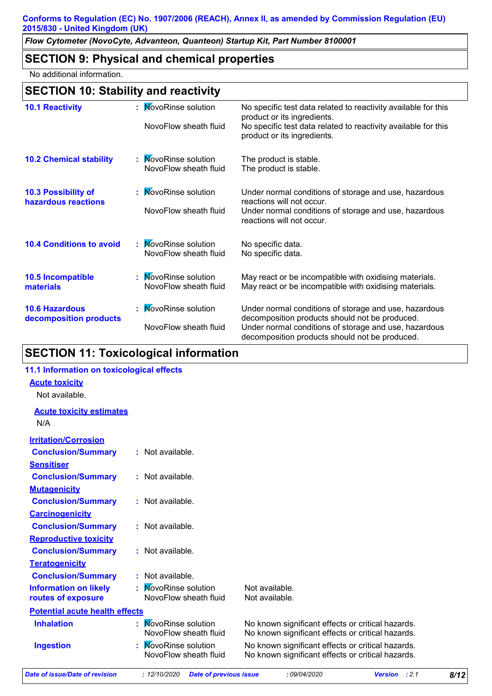*Flow Cytometer (NovoCyte, Advanteon, Quanteon) Startup Kit, Part Number 8100001*

### **SECTION 9: Physical and chemical properties**

No additional information.

# **SECTION 10: Stability and reactivity**

| <b>10.1 Reactivity</b>                            | : MovoRinse solution<br>NovoFlow sheath fluid      | No specific test data related to reactivity available for this<br>product or its ingredients.<br>No specific test data related to reactivity available for this<br>product or its ingredients.                     |
|---------------------------------------------------|----------------------------------------------------|--------------------------------------------------------------------------------------------------------------------------------------------------------------------------------------------------------------------|
| <b>10.2 Chemical stability</b>                    | : MovoRinse solution<br>NovoFlow sheath fluid      | The product is stable.<br>The product is stable.                                                                                                                                                                   |
| <b>10.3 Possibility of</b><br>hazardous reactions | : MovoRinse solution<br>NovoFlow sheath fluid      | Under normal conditions of storage and use, hazardous<br>reactions will not occur.<br>Under normal conditions of storage and use, hazardous<br>reactions will not occur.                                           |
| <b>10.4 Conditions to avoid</b>                   | <b>NovoRinse solution</b><br>NovoFlow sheath fluid | No specific data.<br>No specific data.                                                                                                                                                                             |
| <b>10.5 Incompatible</b><br>materials             | : MovoRinse solution<br>NovoFlow sheath fluid      | May react or be incompatible with oxidising materials.<br>May react or be incompatible with oxidising materials.                                                                                                   |
| <b>10.6 Hazardous</b><br>decomposition products   | <b>NovoRinse solution</b><br>NovoFlow sheath fluid | Under normal conditions of storage and use, hazardous<br>decomposition products should not be produced.<br>Under normal conditions of storage and use, hazardous<br>decomposition products should not be produced. |

# **SECTION 11: Toxicological information**

| 11.1 Information on toxicological effects          |                                               |                               |                                                                                                        |               |      |
|----------------------------------------------------|-----------------------------------------------|-------------------------------|--------------------------------------------------------------------------------------------------------|---------------|------|
| <b>Acute toxicity</b>                              |                                               |                               |                                                                                                        |               |      |
| Not available.                                     |                                               |                               |                                                                                                        |               |      |
| <b>Acute toxicity estimates</b>                    |                                               |                               |                                                                                                        |               |      |
| N/A                                                |                                               |                               |                                                                                                        |               |      |
| <b>Irritation/Corrosion</b>                        |                                               |                               |                                                                                                        |               |      |
| <b>Conclusion/Summary</b>                          | : Not available.                              |                               |                                                                                                        |               |      |
| <b>Sensitiser</b>                                  |                                               |                               |                                                                                                        |               |      |
| <b>Conclusion/Summary</b>                          | : Not available.                              |                               |                                                                                                        |               |      |
| <b>Mutagenicity</b>                                |                                               |                               |                                                                                                        |               |      |
| <b>Conclusion/Summary</b>                          | : Not available.                              |                               |                                                                                                        |               |      |
| <b>Carcinogenicity</b>                             |                                               |                               |                                                                                                        |               |      |
| <b>Conclusion/Summary</b>                          | : Not available.                              |                               |                                                                                                        |               |      |
| <b>Reproductive toxicity</b>                       |                                               |                               |                                                                                                        |               |      |
| <b>Conclusion/Summary</b>                          | : Not available.                              |                               |                                                                                                        |               |      |
| <b>Teratogenicity</b>                              |                                               |                               |                                                                                                        |               |      |
| <b>Conclusion/Summary</b>                          | : Not available.                              |                               |                                                                                                        |               |      |
| <b>Information on likely</b><br>routes of exposure | : MovoRinse solution<br>NovoFlow sheath fluid |                               | Not available.<br>Not available.                                                                       |               |      |
| <b>Potential acute health effects</b>              |                                               |                               |                                                                                                        |               |      |
| <b>Inhalation</b>                                  | : MovoRinse solution<br>NovoFlow sheath fluid |                               | No known significant effects or critical hazards.<br>No known significant effects or critical hazards. |               |      |
| <b>Ingestion</b>                                   | : MovoRinse solution<br>NovoFlow sheath fluid |                               | No known significant effects or critical hazards.<br>No known significant effects or critical hazards. |               |      |
| Date of issue/Date of revision                     | : 12/10/2020                                  | <b>Date of previous issue</b> | :09/04/2020                                                                                            | Version : 2.1 | 8/12 |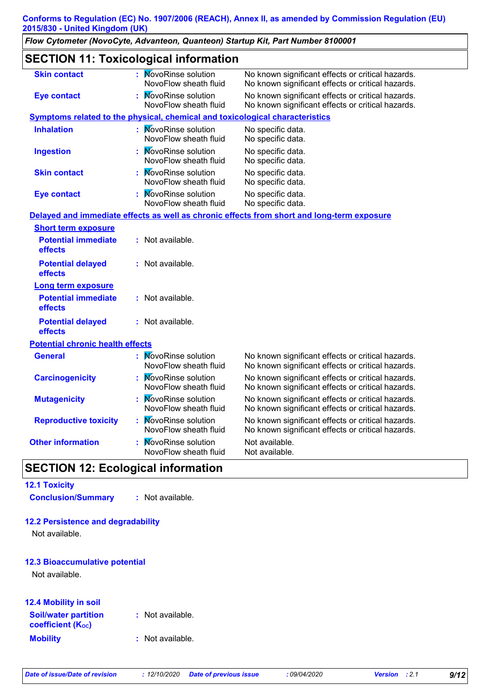*Flow Cytometer (NovoCyte, Advanteon, Quanteon) Startup Kit, Part Number 8100001*

# **SECTION 11: Toxicological information**

| <b>Skin contact</b>                                                          | <b>NovoRinse solution</b><br>NovoFlow sheath fluid | No known significant effects or critical hazards.<br>No known significant effects or critical hazards. |
|------------------------------------------------------------------------------|----------------------------------------------------|--------------------------------------------------------------------------------------------------------|
| <b>Eye contact</b>                                                           | : MovoRinse solution<br>NovoFlow sheath fluid      | No known significant effects or critical hazards.<br>No known significant effects or critical hazards. |
| Symptoms related to the physical, chemical and toxicological characteristics |                                                    |                                                                                                        |
| <b>Inhalation</b>                                                            | : MovoRinse solution<br>NovoFlow sheath fluid      | No specific data.<br>No specific data.                                                                 |
| <b>Ingestion</b>                                                             | : MovoRinse solution<br>NovoFlow sheath fluid      | No specific data.<br>No specific data.                                                                 |
| <b>Skin contact</b>                                                          | : MovoRinse solution<br>NovoFlow sheath fluid      | No specific data.<br>No specific data.                                                                 |
| <b>Eye contact</b>                                                           | : MovoRinse solution<br>NovoFlow sheath fluid      | No specific data.<br>No specific data.                                                                 |
|                                                                              |                                                    | Delayed and immediate effects as well as chronic effects from short and long-term exposure             |
| <b>Short term exposure</b>                                                   |                                                    |                                                                                                        |
| <b>Potential immediate</b><br>effects                                        | : Not available.                                   |                                                                                                        |
| <b>Potential delayed</b><br>effects                                          | : Not available.                                   |                                                                                                        |
| <b>Long term exposure</b>                                                    |                                                    |                                                                                                        |
| <b>Potential immediate</b><br>effects                                        | $:$ Not available.                                 |                                                                                                        |
| <b>Potential delayed</b><br>effects                                          | : Not available.                                   |                                                                                                        |
| <b>Potential chronic health effects</b>                                      |                                                    |                                                                                                        |
| <b>General</b>                                                               | <b>NovoRinse solution</b><br>NovoFlow sheath fluid | No known significant effects or critical hazards.<br>No known significant effects or critical hazards. |
| <b>Carcinogenicity</b>                                                       | : MovoRinse solution<br>NovoFlow sheath fluid      | No known significant effects or critical hazards.<br>No known significant effects or critical hazards. |
| <b>Mutagenicity</b>                                                          | <b>NovoRinse solution</b><br>NovoFlow sheath fluid | No known significant effects or critical hazards.<br>No known significant effects or critical hazards. |
| <b>Reproductive toxicity</b>                                                 | <b>NovoRinse solution</b><br>NovoFlow sheath fluid | No known significant effects or critical hazards.<br>No known significant effects or critical hazards. |
| <b>Other information</b>                                                     | <b>NovoRinse solution</b><br>NovoFlow sheath fluid | Not available.<br>Not available.                                                                       |

# **SECTION 12: Ecological information**

#### **12.1 Toxicity**

**Conclusion/Summary :** Not available.

#### **12.2 Persistence and degradability**

Not available.

#### **12.3 Bioaccumulative potential**

Not available.

| 12.4 Mobility in soil                                   |                    |
|---------------------------------------------------------|--------------------|
| <b>Soil/water partition</b><br><b>coefficient (Koc)</b> | $:$ Not available. |
| <b>Mobility</b>                                         | $:$ Not available. |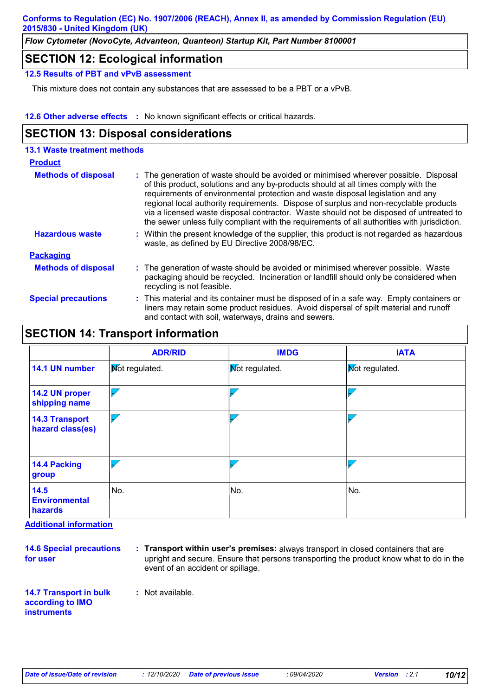*Flow Cytometer (NovoCyte, Advanteon, Quanteon) Startup Kit, Part Number 8100001*

### **SECTION 12: Ecological information**

#### **12.5 Results of PBT and vPvB assessment**

This mixture does not contain any substances that are assessed to be a PBT or a vPvB.

**12.6 Other adverse effects** : No known significant effects or critical hazards.

### **SECTION 13: Disposal considerations**

### **13.1 Waste treatment methods**

| <b>Product</b>             |                                                                                                                                                                                                                                                                                                                                                                                                                                                                                                                                                  |
|----------------------------|--------------------------------------------------------------------------------------------------------------------------------------------------------------------------------------------------------------------------------------------------------------------------------------------------------------------------------------------------------------------------------------------------------------------------------------------------------------------------------------------------------------------------------------------------|
| <b>Methods of disposal</b> | : The generation of waste should be avoided or minimised wherever possible. Disposal<br>of this product, solutions and any by-products should at all times comply with the<br>requirements of environmental protection and waste disposal legislation and any<br>regional local authority requirements. Dispose of surplus and non-recyclable products<br>via a licensed waste disposal contractor. Waste should not be disposed of untreated to<br>the sewer unless fully compliant with the requirements of all authorities with jurisdiction. |
| <b>Hazardous waste</b>     | : Within the present knowledge of the supplier, this product is not regarded as hazardous<br>waste, as defined by EU Directive 2008/98/EC.                                                                                                                                                                                                                                                                                                                                                                                                       |
| <b>Packaging</b>           |                                                                                                                                                                                                                                                                                                                                                                                                                                                                                                                                                  |
| <b>Methods of disposal</b> | : The generation of waste should be avoided or minimised wherever possible. Waste<br>packaging should be recycled. Incineration or landfill should only be considered when<br>recycling is not feasible.                                                                                                                                                                                                                                                                                                                                         |
| <b>Special precautions</b> | : This material and its container must be disposed of in a safe way. Empty containers or<br>liners may retain some product residues. Avoid dispersal of spilt material and runoff<br>and contact with soil, waterways, drains and sewers.                                                                                                                                                                                                                                                                                                        |

# **SECTION 14: Transport information**

|                                           | <b>ADR/RID</b>           | <b>IMDG</b>           | <b>IATA</b>           |
|-------------------------------------------|--------------------------|-----------------------|-----------------------|
| 14.1 UN number                            | <b>Not regulated.</b>    | <b>Mot regulated.</b> | <b>Mot regulated.</b> |
| 14.2 UN proper<br>shipping name           | $\overline{\phantom{0}}$ |                       |                       |
| <b>14.3 Transport</b><br>hazard class(es) |                          |                       |                       |
| 14.4 Packing<br>group                     |                          |                       |                       |
| 14.5<br><b>Environmental</b><br>hazards   | No.                      | No.                   | No.                   |

**Additional information**

**14.6 Special precautions for user : Transport within user's premises:** always transport in closed containers that are upright and secure. Ensure that persons transporting the product know what to do in the event of an accident or spillage.

**14.7 Transport in bulk according to IMO instruments**

**:** Not available.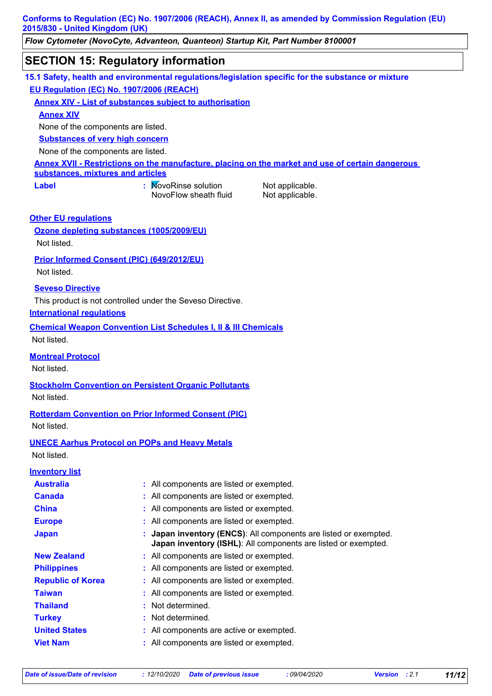*Flow Cytometer (NovoCyte, Advanteon, Quanteon) Startup Kit, Part Number 8100001*

# **SECTION 15: Regulatory information**

| 15.1 Safety, health and environmental regulations/legislation specific for the substance or mixture |                                                                            |                                                                                                         |
|-----------------------------------------------------------------------------------------------------|----------------------------------------------------------------------------|---------------------------------------------------------------------------------------------------------|
| EU Regulation (EC) No. 1907/2006 (REACH)                                                            |                                                                            |                                                                                                         |
|                                                                                                     | <b>Annex XIV - List of substances subject to authorisation</b>             |                                                                                                         |
| <b>Annex XIV</b>                                                                                    |                                                                            |                                                                                                         |
| None of the components are listed.                                                                  |                                                                            |                                                                                                         |
| <b>Substances of very high concern</b>                                                              |                                                                            |                                                                                                         |
| None of the components are listed.                                                                  |                                                                            |                                                                                                         |
|                                                                                                     |                                                                            | <b>Annex XVII - Restrictions on the manufacture, placing on the market and use of certain dangerous</b> |
| substances, mixtures and articles                                                                   | : MovoRinse solution                                                       |                                                                                                         |
| Label                                                                                               | NovoFlow sheath fluid                                                      | Not applicable.<br>Not applicable.                                                                      |
|                                                                                                     |                                                                            |                                                                                                         |
| <b>Other EU regulations</b>                                                                         |                                                                            |                                                                                                         |
| Ozone depleting substances (1005/2009/EU)                                                           |                                                                            |                                                                                                         |
| Not listed.                                                                                         |                                                                            |                                                                                                         |
| Prior Informed Consent (PIC) (649/2012/EU)                                                          |                                                                            |                                                                                                         |
| Not listed.                                                                                         |                                                                            |                                                                                                         |
|                                                                                                     |                                                                            |                                                                                                         |
| <b>Seveso Directive</b>                                                                             |                                                                            |                                                                                                         |
|                                                                                                     | This product is not controlled under the Seveso Directive.                 |                                                                                                         |
| <b>International requlations</b>                                                                    |                                                                            |                                                                                                         |
|                                                                                                     | <b>Chemical Weapon Convention List Schedules I, II &amp; III Chemicals</b> |                                                                                                         |
| Not listed.                                                                                         |                                                                            |                                                                                                         |
| <b>Montreal Protocol</b>                                                                            |                                                                            |                                                                                                         |
| Not listed.                                                                                         |                                                                            |                                                                                                         |
|                                                                                                     |                                                                            |                                                                                                         |
| Not listed.                                                                                         | <b>Stockholm Convention on Persistent Organic Pollutants</b>               |                                                                                                         |
|                                                                                                     |                                                                            |                                                                                                         |
|                                                                                                     | <b>Rotterdam Convention on Prior Informed Consent (PIC)</b>                |                                                                                                         |
| Not listed.                                                                                         |                                                                            |                                                                                                         |
|                                                                                                     | <b>UNECE Aarhus Protocol on POPs and Heavy Metals</b>                      |                                                                                                         |
| Not listed.                                                                                         |                                                                            |                                                                                                         |
| <b>Inventory list</b>                                                                               |                                                                            |                                                                                                         |
| <b>Australia</b>                                                                                    | : All components are listed or exempted.                                   |                                                                                                         |
| <b>Canada</b>                                                                                       | All components are listed or exempted.                                     |                                                                                                         |
| <b>China</b>                                                                                        | All components are listed or exempted.                                     |                                                                                                         |
| <b>Europe</b>                                                                                       | All components are listed or exempted.                                     |                                                                                                         |
| <b>Japan</b>                                                                                        |                                                                            | Japan inventory (ENCS): All components are listed or exempted.                                          |
|                                                                                                     |                                                                            | Japan inventory (ISHL): All components are listed or exempted.                                          |
| <b>New Zealand</b>                                                                                  | All components are listed or exempted.                                     |                                                                                                         |
| <b>Philippines</b>                                                                                  | All components are listed or exempted.                                     |                                                                                                         |
| <b>Republic of Korea</b>                                                                            | All components are listed or exempted.                                     |                                                                                                         |
| <b>Taiwan</b>                                                                                       | All components are listed or exempted.                                     |                                                                                                         |
| <b>Thailand</b>                                                                                     | Not determined.                                                            |                                                                                                         |
| <b>Turkey</b>                                                                                       | Not determined.                                                            |                                                                                                         |
| <b>United States</b>                                                                                | All components are active or exempted.                                     |                                                                                                         |
| <b>Viet Nam</b>                                                                                     | All components are listed or exempted.                                     |                                                                                                         |
|                                                                                                     |                                                                            |                                                                                                         |